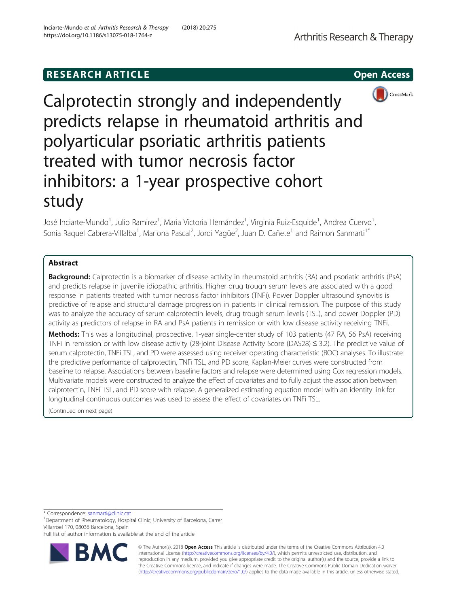# **RESEARCH ARTICLE Example 2014 12:30 The SEAR CH ACCESS**



Calprotectin strongly and independently predicts relapse in rheumatoid arthritis and polyarticular psoriatic arthritis patients treated with tumor necrosis factor inhibitors: a 1-year prospective cohort study

José Inciarte-Mundo<sup>1</sup>, Julio Ramirez<sup>1</sup>, Maria Victoria Hernández<sup>1</sup>, Virginia Ruiz-Esquide<sup>1</sup>, Andrea Cuervo<sup>1</sup> , Sonia Raquel Cabrera-Villalba<sup>1</sup>, Mariona Pascal<sup>2</sup>, Jordi Yagüe<sup>2</sup>, Juan D. Cañete<sup>1</sup> and Raimon Sanmarti<sup>1\*</sup>

## Abstract

**Background:** Calprotectin is a biomarker of disease activity in rheumatoid arthritis (RA) and psoriatic arthritis (PsA) and predicts relapse in juvenile idiopathic arthritis. Higher drug trough serum levels are associated with a good response in patients treated with tumor necrosis factor inhibitors (TNFi). Power Doppler ultrasound synovitis is predictive of relapse and structural damage progression in patients in clinical remission. The purpose of this study was to analyze the accuracy of serum calprotectin levels, drug trough serum levels (TSL), and power Doppler (PD) activity as predictors of relapse in RA and PsA patients in remission or with low disease activity receiving TNFi.

Methods: This was a longitudinal, prospective, 1-year single-center study of 103 patients (47 RA, 56 PsA) receiving TNFi in remission or with low disease activity (28-joint Disease Activity Score (DAS28) ≤ 3.2). The predictive value of serum calprotectin, TNFi TSL, and PD were assessed using receiver operating characteristic (ROC) analyses. To illustrate the predictive performance of calprotectin, TNFi TSL, and PD score, Kaplan-Meier curves were constructed from baseline to relapse. Associations between baseline factors and relapse were determined using Cox regression models. Multivariate models were constructed to analyze the effect of covariates and to fully adjust the association between calprotectin, TNFi TSL, and PD score with relapse. A generalized estimating equation model with an identity link for longitudinal continuous outcomes was used to assess the effect of covariates on TNFi TSL.

(Continued on next page)

\* Correspondence: [sanmarti@clinic.cat](mailto:sanmarti@clinic.cat) <sup>1</sup>

<sup>1</sup>Department of Rheumatology, Hospital Clinic, University of Barcelona, Carrer Villarroel 170, 08036 Barcelona, Spain

Full list of author information is available at the end of the article



© The Author(s). 2018 Open Access This article is distributed under the terms of the Creative Commons Attribution 4.0 International License [\(http://creativecommons.org/licenses/by/4.0/](http://creativecommons.org/licenses/by/4.0/)), which permits unrestricted use, distribution, and reproduction in any medium, provided you give appropriate credit to the original author(s) and the source, provide a link to the Creative Commons license, and indicate if changes were made. The Creative Commons Public Domain Dedication waiver [\(http://creativecommons.org/publicdomain/zero/1.0/](http://creativecommons.org/publicdomain/zero/1.0/)) applies to the data made available in this article, unless otherwise stated.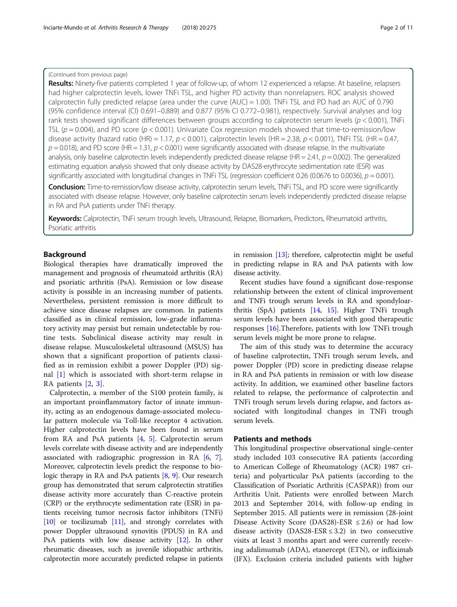## (Continued from previous page)

Results: Ninety-five patients completed 1 year of follow-up, of whom 12 experienced a relapse. At baseline, relapsers had higher calprotectin levels, lower TNFi TSL, and higher PD activity than nonrelapsers. ROC analysis showed calprotectin fully predicted relapse (area under the curve (AUC) = 1.00). TNFi TSL and PD had an AUC of 0.790 (95% confidence interval (CI) 0.691–0.889) and 0.877 (95% CI 0.772–0.981), respectively. Survival analyses and log rank tests showed significant differences between groups according to calprotectin serum levels ( $p < 0.001$ ), TNFi TSL ( $p = 0.004$ ), and PD score ( $p < 0.001$ ). Univariate Cox regression models showed that time-to-remission/low disease activity (hazard ratio (HR) = 1.17,  $p < 0.001$ ), calprotectin levels (HR = 2.38,  $p < 0.001$ ), TNFi TSL (HR = 0.47,  $p = 0.018$ ), and PD score (HR = 1.31,  $p < 0.001$ ) were significantly associated with disease relapse. In the multivariate analysis, only baseline calprotectin levels independently predicted disease relapse (HR = 2.41,  $p$  = 0.002). The generalized estimating equation analysis showed that only disease activity by DAS28-erythrocyte sedimentation rate (ESR) was significantly associated with longitudinal changes in TNFi TSL (regression coefficient 0.26 (0.0676 to 0.0036),  $p = 0.001$ ).

Conclusion: Time-to-remission/low disease activity, calprotectin serum levels, TNFi TSL, and PD score were significantly associated with disease relapse. However, only baseline calprotectin serum levels independently predicted disease relapse in RA and PsA patients under TNFi therapy.

Keywords: Calprotectin, TNFi serum trough levels, Ultrasound, Relapse, Biomarkers, Predictors, Rheumatoid arthritis, Psoriatic arthritis

## Background

Biological therapies have dramatically improved the management and prognosis of rheumatoid arthritis (RA) and psoriatic arthritis (PsA). Remission or low disease activity is possible in an increasing number of patients. Nevertheless, persistent remission is more difficult to achieve since disease relapses are common. In patients classified as in clinical remission, low-grade inflammatory activity may persist but remain undetectable by routine tests. Subclinical disease activity may result in disease relapse. Musculoskeletal ultrasound (MSUS) has shown that a significant proportion of patients classified as in remission exhibit a power Doppler (PD) signal [[1](#page-9-0)] which is associated with short-term relapse in RA patients [\[2](#page-9-0), [3](#page-9-0)].

Calprotectin, a member of the S100 protein family, is an important proinflammatory factor of innate immunity, acting as an endogenous damage-associated molecular pattern molecule via Toll-like receptor 4 activation. Higher calprotectin levels have been found in serum from RA and PsA patients [[4,](#page-9-0) [5\]](#page-9-0). Calprotectin serum levels correlate with disease activity and are independently associated with radiographic progression in RA [\[6,](#page-9-0) [7](#page-9-0)]. Moreover, calprotectin levels predict the response to biologic therapy in RA and PsA patients [\[8](#page-9-0), [9](#page-9-0)]. Our research group has demonstrated that serum calprotectin stratifies disease activity more accurately than C-reactive protein (CRP) or the erythrocyte sedimentation rate (ESR) in patients receiving tumor necrosis factor inhibitors (TNFi) [[10](#page-9-0)] or tocilizumab [[11](#page-9-0)], and strongly correlates with power Doppler ultrasound synovitis (PDUS) in RA and PsA patients with low disease activity [\[12\]](#page-9-0). In other rheumatic diseases, such as juvenile idiopathic arthritis, calprotectin more accurately predicted relapse in patients in remission [\[13\]](#page-9-0); therefore, calprotectin might be useful in predicting relapse in RA and PsA patients with low disease activity.

Recent studies have found a significant dose-response relationship between the extent of clinical improvement and TNFi trough serum levels in RA and spondyloarthritis (SpA) patients [[14,](#page-9-0) [15](#page-9-0)]. Higher TNFi trough serum levels have been associated with good therapeutic responses [[16\]](#page-9-0).Therefore, patients with low TNFi trough serum levels might be more prone to relapse.

The aim of this study was to determine the accuracy of baseline calprotectin, TNFi trough serum levels, and power Doppler (PD) score in predicting disease relapse in RA and PsA patients in remission or with low disease activity. In addition, we examined other baseline factors related to relapse, the performance of calprotectin and TNFi trough serum levels during relapse, and factors associated with longitudinal changes in TNFi trough serum levels.

## Patients and methods

This longitudinal prospective observational single-center study included 103 consecutive RA patients (according to American College of Rheumatology (ACR) 1987 criteria) and polyarticular PsA patients (according to the Classification of Psoriatic Arthritis (CASPAR)) from our Arthritis Unit. Patients were enrolled between March 2013 and September 2014, with follow-up ending in September 2015. All patients were in remission (28-joint Disease Activity Score (DAS28)-ESR  $\leq$  2.6) or had low disease activity (DAS28-ESR  $\leq$  3.2) in two consecutive visits at least 3 months apart and were currently receiving adalimumab (ADA), etanercept (ETN), or infliximab (IFX). Exclusion criteria included patients with higher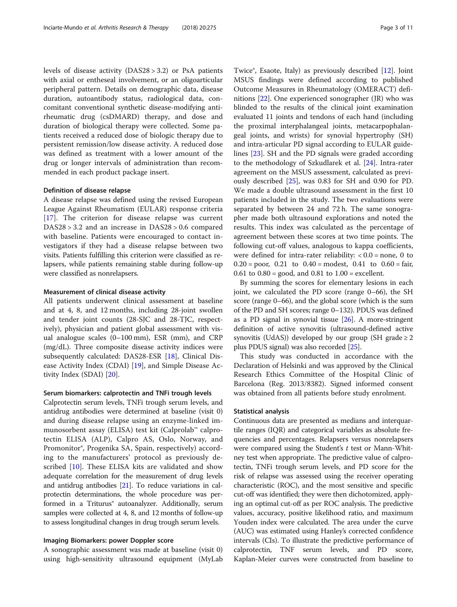levels of disease activity (DAS28 > 3.2) or PsA patients with axial or entheseal involvement, or an oligoarticular peripheral pattern. Details on demographic data, disease duration, autoantibody status, radiological data, concomitant conventional synthetic disease-modifying antirheumatic drug (csDMARD) therapy, and dose and duration of biological therapy were collected. Some patients received a reduced dose of biologic therapy due to persistent remission/low disease activity. A reduced dose was defined as treatment with a lower amount of the drug or longer intervals of administration than recommended in each product package insert.

#### Definition of disease relapse

A disease relapse was defined using the revised European League Against Rheumatism (EULAR) response criteria [[17\]](#page-9-0). The criterion for disease relapse was current DAS28 > 3.2 and an increase in DAS28 > 0.6 compared with baseline. Patients were encouraged to contact investigators if they had a disease relapse between two visits. Patients fulfilling this criterion were classified as relapsers, while patients remaining stable during follow-up were classified as nonrelapsers.

## Measurement of clinical disease activity

All patients underwent clinical assessment at baseline and at 4, 8, and 12 months, including 28-joint swollen and tender joint counts (28-SJC and 28-TJC, respectively), physician and patient global assessment with visual analogue scales (0–100 mm), ESR (mm), and CRP (mg/dL). Three composite disease activity indices were subsequently calculated: DAS28-ESR [\[18](#page-9-0)], Clinical Disease Activity Index (CDAI) [[19](#page-9-0)], and Simple Disease Activity Index (SDAI) [[20\]](#page-9-0).

## Serum biomarkers: calprotectin and TNFi trough levels

Calprotectin serum levels, TNFi trough serum levels, and antidrug antibodies were determined at baseline (visit 0) and during disease relapse using an enzyme-linked immunosorbent assay (ELISA) test kit (Calprolab™ calprotectin ELISA (ALP), Calpro AS, Oslo, Norway, and Promonitor®, Progenika SA, Spain, respectively) according to the manufacturers' protocol as previously described [[10\]](#page-9-0). These ELISA kits are validated and show adequate correlation for the measurement of drug levels and antidrug antibodies [\[21](#page-9-0)]. To reduce variations in calprotectin determinations, the whole procedure was performed in a Triturus<sup>®</sup> autoanalyzer. Additionally, serum samples were collected at 4, 8, and 12 months of follow-up to assess longitudinal changes in drug trough serum levels.

## Imaging Biomarkers: power Doppler score

A sonographic assessment was made at baseline (visit 0) using high-sensitivity ultrasound equipment (MyLab

Twice®, Esaote, Italy) as previously described [\[12\]](#page-9-0). Joint MSUS findings were defined according to published Outcome Measures in Rheumatology (OMERACT) definitions [\[22\]](#page-9-0). One experienced sonographer (JR) who was blinded to the results of the clinical joint examination evaluated 11 joints and tendons of each hand (including the proximal interphalangeal joints, metacarpophalangeal joints, and wrists) for synovial hypertrophy (SH) and intra-articular PD signal according to EULAR guidelines [[23\]](#page-9-0). SH and the PD signals were graded according to the methodology of Szkudlarek et al. [[24\]](#page-9-0). Intra-rater agreement on the MSUS assessment, calculated as previously described [\[25\]](#page-9-0), was 0.83 for SH and 0.90 for PD. We made a double ultrasound assessment in the first 10 patients included in the study. The two evaluations were separated by between 24 and 72 h. The same sonographer made both ultrasound explorations and noted the results. This index was calculated as the percentage of agreement between these scores at two time points. The following cut-off values, analogous to kappa coefficients, were defined for intra-rater reliability:  $< 0.0$  = none, 0 to  $0.20 =$  poor,  $0.21$  to  $0.40 =$  modest,  $0.41$  to  $0.60 =$  fair, 0.61 to  $0.80 = \text{good}$ , and  $0.81$  to  $1.00 = \text{excellent}$ .

By summing the scores for elementary lesions in each joint, we calculated the PD score (range 0–66), the SH score (range 0–66), and the global score (which is the sum of the PD and SH scores; range 0–132). PDUS was defined as a PD signal in synovial tissue [\[26\]](#page-9-0). A more-stringent definition of active synovitis (ultrasound-defined active synovitis (UdAS)) developed by our group (SH grade  $\geq 2$ plus PDUS signal) was also recorded [\[25](#page-9-0)].

This study was conducted in accordance with the Declaration of Helsinki and was approved by the Clinical Research Ethics Committee of the Hospital Clínic of Barcelona (Reg. 2013/8382). Signed informed consent was obtained from all patients before study enrolment.

#### Statistical analysis

Continuous data are presented as medians and interquartile ranges (IQR) and categorical variables as absolute frequencies and percentages. Relapsers versus nonrelapsers were compared using the Student's  $t$  test or Mann-Whitney test when appropriate. The predictive value of calprotectin, TNFi trough serum levels, and PD score for the risk of relapse was assessed using the receiver operating characteristic (ROC), and the most sensitive and specific cut-off was identified; they were then dichotomized, applying an optimal cut-off as per ROC analysis. The predictive values, accuracy, positive likelihood ratio, and maximum Youden index were calculated. The area under the curve (AUC) was estimated using Hanley's corrected confidence intervals (CIs). To illustrate the predictive performance of calprotectin, TNF serum levels, and PD score, Kaplan-Meier curves were constructed from baseline to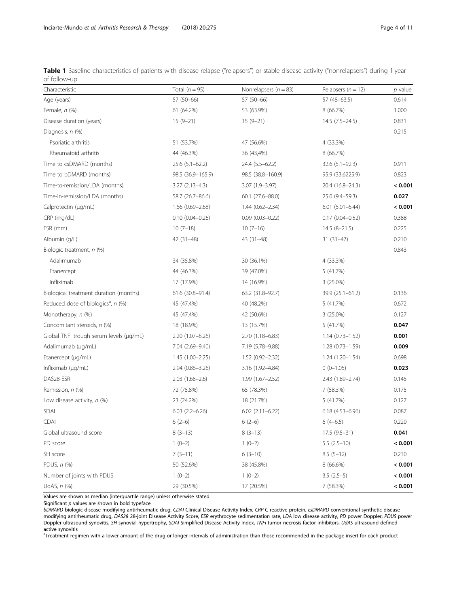<span id="page-3-0"></span>

| Table 1 Baseline characteristics of patients with disease relapse ("relapsers") or stable disease activity ("nonrelapsers") during 1 year |  |  |  |
|-------------------------------------------------------------------------------------------------------------------------------------------|--|--|--|
| of follow-up                                                                                                                              |  |  |  |

| Characteristic                                 | Total $(n = 95)$      | Nonrelapsers ( $n = 83$ ) | Relapsers ( $n = 12$ ) | p value |
|------------------------------------------------|-----------------------|---------------------------|------------------------|---------|
| Age (years)                                    | 57 (50-66)            | 57 (50-66)                | 57 (48-63.5)           | 0.614   |
| Female, $n$ (%)                                | 61 (64.2%)            | 53 (63.9%)                | 8 (66.7%)              | 1.000   |
| Disease duration (years)                       | $15(9-21)$            | $15(9-21)$                | $14.5(7.5-24.5)$       | 0.831   |
| Diagnosis, n (%)                               |                       |                           |                        | 0.215   |
| Psoriatic arthritis                            | 51 (53,7%)            | 47 (56.6%)                | 4 (33.3%)              |         |
| Rheumatoid arthritis                           | 44 (46.3%)            | 36 (43,4%)                | 8 (66.7%)              |         |
| Time to csDMARD (months)                       | $25.6$ $(5.1 - 62.2)$ | 24.4 (5.5–62.2)           | $32.6(5.1 - 92.3)$     | 0.911   |
| Time to bDMARD (months)                        | 98.5 (36.9-165.9)     | 98.5 (38.8-160.9)         | 95.9 (33.6225.9)       | 0.823   |
| Time-to-remission/LDA (months)                 | $3.27(2.13-4.3)$      | 3.07 (1.9-3.97)           | 20.4 (16.8-24.3)       | < 0.001 |
| Time-in-remission/LDA (months)                 | 58.7 (26.7-86.6)      | $60.1(27.6 - 88.0)$       | 25.0 (9.4-59.3)        | 0.027   |
| Calprotectin (µg/mL)                           | $1.66(0.69 - 2.68)$   | $1.44(0.62 - 2.34)$       | $6.01(5.01 - 6.44)$    | < 0.001 |
| CRP (mg/dL)                                    | $0.10(0.04 - 0.26)$   | $0.09(0.03 - 0.22)$       | $0.17(0.04 - 0.52)$    | 0.388   |
| ESR (mm)                                       | $10(7-18)$            | $10(7-16)$                | $14.5(8-21.5)$         | 0.225   |
| Albumin (g/L)                                  | 42 (31-48)            | 43 (31–48)                | $31(31-47)$            | 0.210   |
| Biologic treatment, n (%)                      |                       |                           |                        | 0.843   |
| Adalimumab                                     | 34 (35.8%)            | 30 (36.1%)                | 4 (33.3%)              |         |
| Etanercept                                     | 44 (46.3%)            | 39 (47.0%)                | 5 (41.7%)              |         |
| Infliximab                                     | 17 (17.9%)            | 14 (16.9%)                | $3(25.0\%)$            |         |
| Biological treatment duration (months)         | 61.6 (30.8-91.4)      | 63.2 (31.8-92.7)          | 39.9 (25.1-61.2)       | 0.136   |
| Reduced dose of biologics <sup>a</sup> , n (%) | 45 (47.4%)            | 40 (48.2%)                | 5 (41.7%)              | 0.672   |
| Monotherapy, n (%)                             | 45 (47.4%)            | 42 (50.6%)                | $3(25.0\%)$            | 0.127   |
| Concomitant steroids, n (%)                    | 18 (18.9%)            | 13 (15.7%)                | 5 (41.7%)              | 0.047   |
| Global TNFi trough serum levels (µg/mL)        | $2.20(1.07-6.26)$     | 2.70 (1.18–6.83)          | $1.14(0.73 - 1.52)$    | 0.001   |
| Adalimumab (µg/mL)                             | 7.04 (2.69-9.40)      | 7.19 (5.78-9.88)          | $1.28(0.73 - 1.59)$    | 0.009   |
| Etanercept (µg/mL)                             | $1.45(1.00-2.25)$     | 1.52 (0.92-2.32)          | $1.24(1.20 - 1.54)$    | 0.698   |
| Infliximab (µg/mL)                             | $2.94(0.86 - 3.26)$   | 3.16 (1.92–4.84)          | $0(0-1.05)$            | 0.023   |
| DAS28-ESR                                      | $2.03(1.68-2.6)$      | $1.99(1.67 - 2.52)$       | 2.43 (1.89-2.74)       | 0.145   |
| Remission, n (%)                               | 72 (75.8%)            | 65 (78.3%)                | 7 (58.3%)              | 0.175   |
| Low disease activity, $n$ (%)                  | 23 (24.2%)            | 18 (21.7%)                | 5 (41.7%)              | 0.127   |
| <b>SDAI</b>                                    | $6.03$ $(2.2 - 6.26)$ | $6.02$ $(2.11-6.22)$      | $6.18(4.53 - 6.96)$    | 0.087   |
| <b>CDAI</b>                                    | $6(2-6)$              | $6(2-6)$                  | $6(4-6.5)$             | 0.220   |
| Global ultrasound score                        | $8(3-13)$             | $8(3-13)$                 | $17.5(9.5-31)$         | 0.041   |
| PD score                                       | $1(0-2)$              | $1(0-2)$                  | $5.5(2.5-10)$          | < 0.001 |
| SH score                                       | $7(3-11)$             | $6(3-10)$                 | $8.5(5-12)$            | 0.210   |
| PDUS, $n$ (%)                                  | 50 (52.6%)            | 38 (45.8%)                | 8 (66.6%)              | < 0.001 |
| Number of joints with PDUS                     | $1(0-2)$              | $1(0-2)$                  | $3.5(2.5-5)$           | < 0.001 |
| UdAS, $n$ $(\%)$                               | 29 (30.5%)            | 17 (20.5%)                | 7 (58.3%)              | < 0.001 |

Values are shown as median (interquartile range) unless otherwise stated

Significant  $p$  values are shown in bold typeface

bDMARD biologic disease-modifying antirheumatic drug, CDAI Clinical Disease Activity Index, CRP C-reactive protein, csDMARD conventional synthetic diseasemodifying antirheumatic drug, DAS28 28-joint Disease Activity Score, ESR erythrocyte sedimentation rate, LDA low disease activity, PD power Doppler, PDUS power Doppler ultrasound synovitis, SH synovial hypertrophy, SDAI Simplified Disease Activity Index, TNFi tumor necrosis factor inhibitors, UdAS ultrasound-defined active synovitis

<sup>a</sup>Treatment regimen with a lower amount of the drug or longer intervals of administration than those recommended in the package insert for each product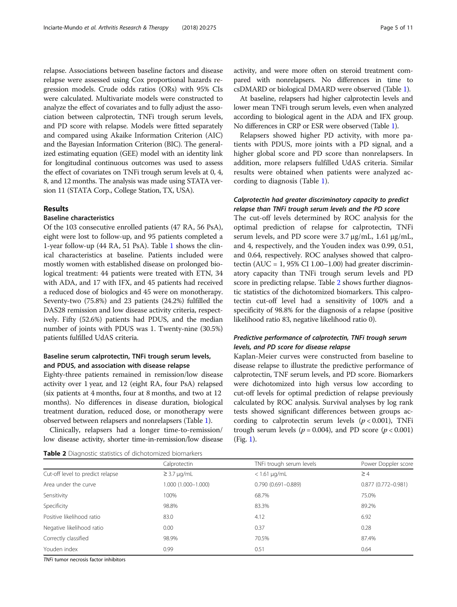relapse. Associations between baseline factors and disease relapse were assessed using Cox proportional hazards regression models. Crude odds ratios (ORs) with 95% CIs were calculated. Multivariate models were constructed to analyze the effect of covariates and to fully adjust the association between calprotectin, TNFi trough serum levels, and PD score with relapse. Models were fitted separately and compared using Akaike Information Criterion (AIC) and the Bayesian Information Criterion (BIC). The generalized estimating equation (GEE) model with an identity link for longitudinal continuous outcomes was used to assess the effect of covariates on TNFi trough serum levels at 0, 4, 8, and 12 months. The analysis was made using STATA version 11 (STATA Corp., College Station, TX, USA).

## Results

## Baseline characteristics

Of the 103 consecutive enrolled patients (47 RA, 56 PsA), eight were lost to follow-up, and 95 patients completed a 1-year follow-up (44 RA, 51 PsA). Table [1](#page-3-0) shows the clinical characteristics at baseline. Patients included were mostly women with established disease on prolonged biological treatment: 44 patients were treated with ETN, 34 with ADA, and 17 with IFX, and 45 patients had received a reduced dose of biologics and 45 were on monotherapy. Seventy-two (75.8%) and 23 patients (24.2%) fulfilled the DAS28 remission and low disease activity criteria, respectively. Fifty (52.6%) patients had PDUS, and the median number of joints with PDUS was 1. Twenty-nine (30.5%) patients fulfilled UdAS criteria.

## Baseline serum calprotectin, TNFi trough serum levels, and PDUS, and association with disease relapse

Eighty-three patients remained in remission/low disease activity over 1 year, and 12 (eight RA, four PsA) relapsed (six patients at 4 months, four at 8 months, and two at 12 months). No differences in disease duration, biological treatment duration, reduced dose, or monotherapy were observed between relapsers and nonrelapsers (Table [1\)](#page-3-0).

Clinically, relapsers had a longer time-to-remission/ low disease activity, shorter time-in-remission/low disease

| Table 2 Diagnostic statistics of dichotomized biomarkers |
|----------------------------------------------------------|
|----------------------------------------------------------|

activity, and were more often on steroid treatment compared with nonrelapsers. No differences in time to csDMARD or biological DMARD were observed (Table [1](#page-3-0)).

At baseline, relapsers had higher calprotectin levels and lower mean TNFi trough serum levels, even when analyzed according to biological agent in the ADA and IFX group. No differences in CRP or ESR were observed (Table [1\)](#page-3-0).

Relapsers showed higher PD activity, with more patients with PDUS, more joints with a PD signal, and a higher global score and PD score than nonrelapsers. In addition, more relapsers fulfilled UdAS criteria. Similar results were obtained when patients were analyzed according to diagnosis (Table [1\)](#page-3-0).

## Calprotectin had greater discriminatory capacity to predict relapse than TNFi trough serum levels and the PD score

The cut-off levels determined by ROC analysis for the optimal prediction of relapse for calprotectin, TNFi serum levels, and PD score were 3.7 μg/mL, 1.61 μg/mL, and 4, respectively, and the Youden index was 0.99, 0.51, and 0.64, respectively. ROC analyses showed that calprotectin (AUC =  $1,95\%$  CI 1.00–1.00) had greater discriminatory capacity than TNFi trough serum levels and PD score in predicting relapse. Table 2 shows further diagnostic statistics of the dichotomized biomarkers. This calprotectin cut-off level had a sensitivity of 100% and a specificity of 98.8% for the diagnosis of a relapse (positive likelihood ratio 83, negative likelihood ratio 0).

## Predictive performance of calprotectin, TNFi trough serum levels, and PD score for disease relapse

Kaplan-Meier curves were constructed from baseline to disease relapse to illustrate the predictive performance of calprotectin, TNF serum levels, and PD score. Biomarkers were dichotomized into high versus low according to cut-off levels for optimal prediction of relapse previously calculated by ROC analysis. Survival analyses by log rank tests showed significant differences between groups according to calprotectin serum levels  $(p < 0.001)$ , TNFi trough serum levels ( $p = 0.004$ ), and PD score ( $p < 0.001$ ) (Fig. [1](#page-5-0)).

|                                  | Calprotectin        | TNFi trough serum levels | Power Doppler score    |
|----------------------------------|---------------------|--------------------------|------------------------|
| Cut-off level to predict relapse | $\geq$ 3.7 µg/mL    | $<$ 1.61 $\mu$ g/mL      | $\geq 4$               |
| Area under the curve             | 1.000 (1.000-1.000) | $0.790(0.691 - 0.889)$   | $0.877(0.772 - 0.981)$ |
| Sensitivity                      | 100%                | 68.7%                    | 75.0%                  |
| Specificity                      | 98.8%               | 83.3%                    | 89.2%                  |
| Positive likelihood ratio        | 83.0                | 4.12                     | 6.92                   |
| Negative likelihood ratio        | 0.00                | 0.37                     | 0.28                   |
| Correctly classified             | 98.9%               | 70.5%                    | 87.4%                  |
| Youden index                     | 0.99                | 0.51                     | 0.64                   |

TNFi tumor necrosis factor inhibitors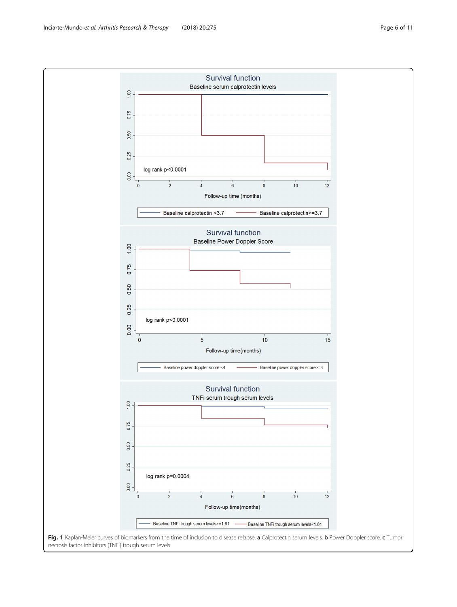<span id="page-5-0"></span>

necrosis factor inhibitors (TNFi) trough serum levels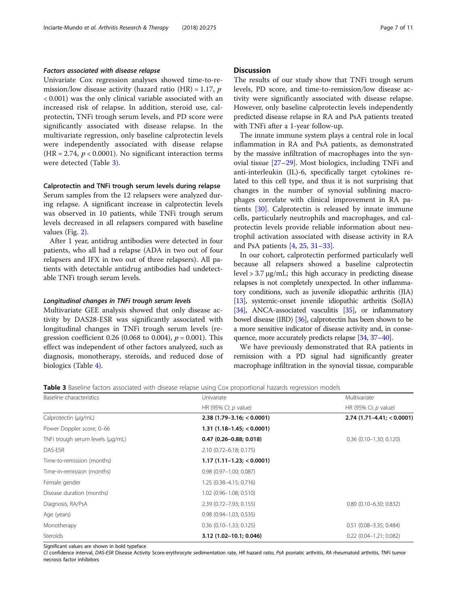## Factors associated with disease relapse

Univariate Cox regression analyses showed time-to-remission/low disease activity (hazard ratio  $(HR) = 1.17$ , p < 0.001) was the only clinical variable associated with an increased risk of relapse. In addition, steroid use, calprotectin, TNFi trough serum levels, and PD score were significantly associated with disease relapse. In the multivariate regression, only baseline calprotectin levels were independently associated with disease relapse (HR = 2.74,  $p < 0.0001$ ). No significant interaction terms were detected (Table 3).

#### Calprotectin and TNFi trough serum levels during relapse

Serum samples from the 12 relapsers were analyzed during relapse. A significant increase in calprotectin levels was observed in 10 patients, while TNFi trough serum levels decreased in all relapsers compared with baseline values (Fig. [2](#page-7-0)).

After 1 year, antidrug antibodies were detected in four patients, who all had a relapse (ADA in two out of four relapsers and IFX in two out of three relapsers). All patients with detectable antidrug antibodies had undetectable TNFi trough serum levels.

#### Longitudinal changes in TNFi trough serum levels

Multivariate GEE analysis showed that only disease activity by DAS28-ESR was significantly associated with longitudinal changes in TNFi trough serum levels (regression coefficient 0.26 (0.068 to 0.004),  $p = 0.001$ ). This effect was independent of other factors analyzed, such as diagnosis, monotherapy, steroids, and reduced dose of biologics (Table [4\)](#page-8-0).

The results of our study show that TNFi trough serum levels, PD score, and time-to-remission/low disease activity were significantly associated with disease relapse. However, only baseline calprotectin levels independently predicted disease relapse in RA and PsA patients treated with TNFi after a 1-year follow-up.

The innate immune system plays a central role in local inflammation in RA and PsA patients, as demonstrated by the massive infiltration of macrophages into the synovial tissue [[27](#page-9-0)–[29](#page-9-0)]. Most biologics, including TNFi and anti-interleukin (IL)-6, specifically target cytokines related to this cell type, and thus it is not surprising that changes in the number of synovial sublining macrophages correlate with clinical improvement in RA patients [\[30](#page-9-0)]. Calprotectin is released by innate immune cells, particularly neutrophils and macrophages, and calprotectin levels provide reliable information about neutrophil activation associated with disease activity in RA and PsA patients [\[4](#page-9-0), [25,](#page-9-0) [31](#page-9-0)–[33\]](#page-9-0).

In our cohort, calprotectin performed particularly well because all relapsers showed a baseline calprotectin level  $> 3.7 \mu$ g/mL; this high accuracy in predicting disease relapses is not completely unexpected. In other inflammatory conditions, such as juvenile idiopathic arthritis (JIA) [[13](#page-9-0)], systemic-onset juvenile idiopathic arthritis (SoJIA) [[34](#page-9-0)], ANCA-associated vasculitis [\[35](#page-10-0)], or inflammatory bowel disease (IBD) [[36](#page-10-0)], calprotectin has been shown to be a more sensitive indicator of disease activity and, in consequence, more accurately predicts relapse [\[34](#page-9-0), [37](#page-10-0)–[40](#page-10-0)].

We have previously demonstrated that RA patients in remission with a PD signal had significantly greater macrophage infiltration in the synovial tissue, comparable

**Table 3** Baseline factors associated with disease relapse using Cox proportional hazards regression models

| Baseline characteristics         | Univariate                    | Multivariate<br>HR (95% CI; $p$ value) |  |
|----------------------------------|-------------------------------|----------------------------------------|--|
|                                  | HR (95% CI; $p$ value)        |                                        |  |
| Calprotectin (µg/mL)             | $2.38$ (1.79-3.16; < 0.0001)  | $2.74$ (1.71-4.41; < 0.0001)           |  |
| Power Doppler score, 0-66        | $1.31(1.18-1.45; < 0.0001)$   |                                        |  |
| TNFi trough serum levels (µg/mL) | $0.47$ (0.26-0.88; 0.018)     | $0.36$ (0.10-1.30; 0.120)              |  |
| DAS-ESR                          | 2.10 (0.72-6.18; 0.175)       |                                        |  |
| Time-to-remission (months)       | $1.17(1.11-1.23) < 0.0001$    |                                        |  |
| Time-in-remission (months)       | $0.98$ $(0.97 - 1.00; 0.087)$ |                                        |  |
| Female gender                    | 1.25 (0.38-4.15; 0.716)       |                                        |  |
| Disease duration (months)        | 1.02 (0.96-1.08; 0.510)       |                                        |  |
| Diagnosis, RA/PsA                | 2.39 (0.72-7.93; 0.155)       | $0.80$ (0.10-6.30; 0.832)              |  |
| Age (years)                      | $0.98$ $(0.94 - 1.03; 0.535)$ |                                        |  |
| Monotherapy                      | $0.36$ (0.10-1.33; 0.125)     | $0.51$ (0.08-3.35; 0.484)              |  |
| Steroids                         | 3.12 (1.02-10.1; 0.046)       | $0.22$ $(0.04 - 1.21; 0.082)$          |  |

Significant values are shown in bold typeface

CI confidence interval, DAS-ESR Disease Activity Score-erythrocyte sedimentation rate, HR hazard ratio, PsA psoriatic arthritis, RA rheumatoid arthritis, TNFi tumor necrosis factor inhibitors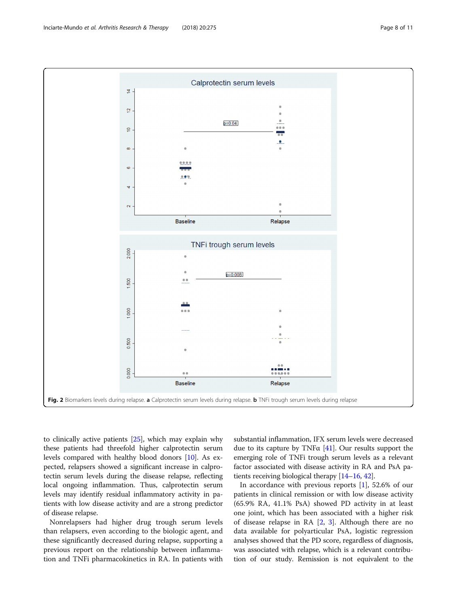<span id="page-7-0"></span>

to clinically active patients [[25](#page-9-0)], which may explain why these patients had threefold higher calprotectin serum levels compared with healthy blood donors [\[10\]](#page-9-0). As expected, relapsers showed a significant increase in calprotectin serum levels during the disease relapse, reflecting local ongoing inflammation. Thus, calprotectin serum levels may identify residual inflammatory activity in patients with low disease activity and are a strong predictor of disease relapse.

Nonrelapsers had higher drug trough serum levels than relapsers, even according to the biologic agent, and these significantly decreased during relapse, supporting a previous report on the relationship between inflammation and TNFi pharmacokinetics in RA. In patients with substantial inflammation, IFX serum levels were decreased due to its capture by TNF $\alpha$  [\[41\]](#page-10-0). Our results support the emerging role of TNFi trough serum levels as a relevant factor associated with disease activity in RA and PsA patients receiving biological therapy [\[14](#page-9-0)–[16,](#page-9-0) [42\]](#page-10-0).

In accordance with previous reports [\[1](#page-9-0)], 52.6% of our patients in clinical remission or with low disease activity (65.9% RA, 41.1% PsA) showed PD activity in at least one joint, which has been associated with a higher risk of disease relapse in RA [[2](#page-9-0), [3\]](#page-9-0). Although there are no data available for polyarticular PsA, logistic regression analyses showed that the PD score, regardless of diagnosis, was associated with relapse, which is a relevant contribution of our study. Remission is not equivalent to the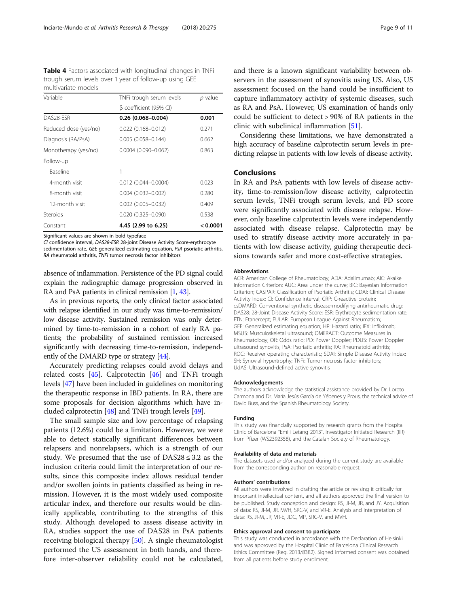<span id="page-8-0"></span>Table 4 Factors associated with longitudinal changes in TNFi trough serum levels over 1 year of follow-up using GEE multivariate models

| Constant              | 4.45 (2.99 to 6.25)        | < 0.0001 |
|-----------------------|----------------------------|----------|
|                       |                            |          |
| Steroids              | $0.020(0.325 - 0.090)$     | 0.538    |
| 12-month visit        | $0.002$ (0.005-0.032)      | 0.409    |
| 8-month visit         | $0.004(0.032 - 0.002)$     | 0.280    |
| 4-month visit         | $0.012(0.044 - 0.0004)$    | 0.023    |
| Baseline              | 1                          |          |
| Follow-up             |                            |          |
| Monotherapy (yes/no)  | $0.0004$ $(0.090 - 0.062)$ | 0.863    |
| Diagnosis (RA/PsA)    | $0.005(0.058 - 0.144)$     | 0.662    |
| Reduced dose (yes/no) | $0.022$ $(0.168 - 0.012)$  | 0.271    |
| DAS28-ESR             | $0.26(0.068 - 0.004)$      | 0.001    |
|                       | β coefficient (95% CI)     |          |
| Variable              | TNFi trough serum levels   | p value  |

Significant values are shown in bold typeface

CI confidence interval, DAS28-ESR 28-joint Disease Activity Score-erythrocyte sedimentation rate, GEE generalized estimating equation, PsA psoriatic arthritis, RA rheumatoid arthritis, TNFi tumor necrosis factor inhibitors

absence of inflammation. Persistence of the PD signal could explain the radiographic damage progression observed in RA and PsA patients in clinical remission [[1](#page-9-0), [43](#page-10-0)].

As in previous reports, the only clinical factor associated with relapse identified in our study was time-to-remission/ low disease activity. Sustained remission was only determined by time-to-remission in a cohort of early RA patients; the probability of sustained remission increased significantly with decreasing time-to-remission, independently of the DMARD type or strategy [[44](#page-10-0)].

Accurately predicting relapses could avoid delays and related costs  $[45]$  $[45]$ . Calprotectin  $[46]$  $[46]$  and TNFi trough levels [\[47\]](#page-10-0) have been included in guidelines on monitoring the therapeutic response in IBD patients. In RA, there are some proposals for decision algorithms which have included calprotectin [\[48\]](#page-10-0) and TNFi trough levels [[49](#page-10-0)].

The small sample size and low percentage of relapsing patients (12.6%) could be a limitation. However, we were able to detect statically significant differences between relapsers and nonrelapsers, which is a strength of our study. We presumed that the use of  $DAS28 \leq 3.2$  as the inclusion criteria could limit the interpretation of our results, since this composite index allows residual tender and/or swollen joints in patients classified as being in remission. However, it is the most widely used composite articular index, and therefore our results would be clinically applicable, contributing to the strengths of this study. Although developed to assess disease activity in RA, studies support the use of DAS28 in PsA patients receiving biological therapy [[50\]](#page-10-0). A single rheumatologist performed the US assessment in both hands, and therefore inter-observer reliability could not be calculated,

and there is a known significant variability between observers in the assessment of synovitis using US. Also, US assessment focused on the hand could be insufficient to capture inflammatory activity of systemic diseases, such as RA and PsA. However, US examination of hands only could be sufficient to detect > 90% of RA patients in the clinic with subclinical inflammation [\[51](#page-10-0)].

Considering these limitations, we have demonstrated a high accuracy of baseline calprotectin serum levels in predicting relapse in patients with low levels of disease activity.

## Conclusions

In RA and PsA patients with low levels of disease activity, time-to-remission/low disease activity, calprotectin serum levels, TNFi trough serum levels, and PD score were significantly associated with disease relapse. However, only baseline calprotectin levels were independently associated with disease relapse. Calprotectin may be used to stratify disease activity more accurately in patients with low disease activity, guiding therapeutic decisions towards safer and more cost-effective strategies.

#### Abbreviations

ACR: American College of Rheumatology; ADA: Adalimumab; AIC: Akaike Information Criterion; AUC: Area under the curve; BIC: Bayesian Information Criterion; CASPAR: Classification of Psoriatic Arthritis; CDAI: Clinical Disease Activity Index; CI: Confidence interval; CRP: C-reactive protein; csDMARD: Conventional synthetic disease-modifying antirheumatic drug; DAS28: 28-Joint Disease Activity Score; ESR: Erythrocyte sedimentation rate; ETN: Etanercept; EULAR: European League Against Rheumatism; GEE: Generalized estimating equation; HR: Hazard ratio; IFX: Infliximab; MSUS: Musculoskeletal ultrasound; OMERACT: Outcome Measures in Rheumatology; OR: Odds ratio; PD: Power Doppler; PDUS: Power Doppler ultrasound synovitis; PsA: Psoriatic arthritis; RA: Rheumatoid arthritis; ROC: Receiver operating characteristic; SDAI: Simple Disease Activity Index; SH: Synovial hypertrophy; TNFi: Tumor necrosis factor inhibitors; UdAS: Ultrasound-defined active synovitis

#### Acknowledgements

The authors acknowledge the statistical assistance provided by Dr. Loreto Carmona and Dr. María Jesús García de Yébenes y Prous, the technical advice of David Buss, and the Spanish Rheumatology Society.

#### Funding

This study was financially supported by research grants from the Hospital Clinic of Barcelona "Emili Letang 2013", Investigator Initiated Research (IIR) from Pfizer (WS2392358), and the Catalan Society of Rheumatology.

#### Availability of data and materials

The datasets used and/or analyzed during the current study are available from the corresponding author on reasonable request.

#### Authors' contributions

All authors were involved in drafting the article or revising it critically for important intellectual content, and all authors approved the final version to be published. Study conception and design: RS, JI-M, JR, and JY. Acquisition of data: RS, JI-M, JR, MVH, SRC-V, and VR-E. Analysis and interpretation of data: RS, JI-M, JR, VR-E, JDC, MP, SRC-V, and MVH.

#### Ethics approval and consent to participate

This study was conducted in accordance with the Declaration of Helsinki and was approved by the Hospital Clínic of Barcelona Clinical Research Ethics Committee (Reg. 2013/8382). Signed informed consent was obtained from all patients before study enrolment.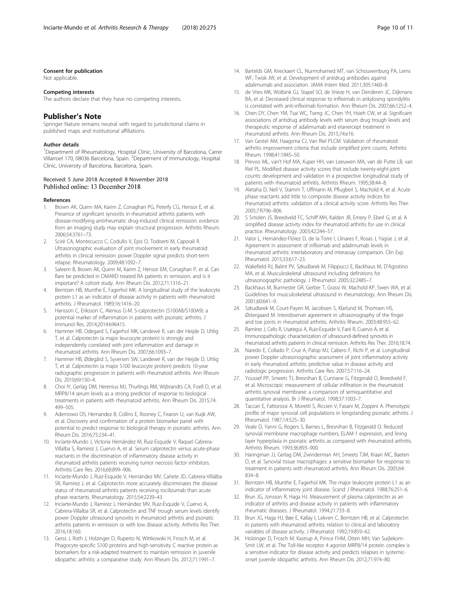#### <span id="page-9-0"></span>Consent for publication

Not applicable.

#### Competing interests

The authors declare that they have no competing interests.

## Publisher's Note

Springer Nature remains neutral with regard to jurisdictional claims in published maps and institutional affiliations.

#### Author details

<sup>1</sup>Department of Rheumatology, Hospital Clinic, University of Barcelona, Carrer Villarroel 170, 08036 Barcelona, Spain. <sup>2</sup>Department of Immunology, Hospital Clinic, University of Barcelona, Barcelona, Spain.

## Received: 5 June 2018 Accepted: 8 November 2018 Published online: 13 December 2018

## References

- 1. Brown AK, Quinn MA, Karim Z, Conaghan PG, Peterfy CG, Hensor E, et al. Presence of significant synovitis in rheumatoid arthritis patients with disease-modifying antirheumatic drug-induced clinical remission: evidence from an imaging study may explain structural progression. Arthritis Rheum. 2006;54:3761–73.
- 2. Scirè CA, Montecucco C, Codullo V, Epis O, Todoerti M, Caporali R. Ultrasonographic evaluation of joint involvement in early rheumatoid arthritis in clinical remission: power Doppler signal predicts short-term relapse. Rheumatology. 2009;48:1092–7.
- 3. Saleem B, Brown AK, Quinn M, Karim Z, Hensor EM, Conaghan P, et al. Can flare be predicted in DMARD treated RA patients in remission, and is it important? A cohort study. Ann Rheum Dis. 2012;71:1316–21.
- 4. Berntzen HB, Munthe E, Fagerhol MK. A longitudinal study of the leukocyte protein L1 as an indicator of disease activity in patients with rheumatoid arthritis. J Rheumatol. 1989;16:1416–20.
- 5. Hansson C, Eriksson C, Alenius G-M. S-calprotectin (S100A8/S100A9): a potential marker of inflammation in patients with psoriatic arthritis. J Immunol Res. 2014;2014:696415.
- 6. Hammer HB, Odegard S, Fagerhol MK, Landewé R, van der Heijde D, Uhlig T, et al. Calprotectin (a major leucocyte protein) is strongly and independently correlated with joint inflammation and damage in rheumatoid arthritis. Ann Rheum Dis. 2007;66:1093–7.
- 7. Hammer HB, Ødegård S, Syversen SW, Landewé R, van der Heijde D, Uhlig T, et al. Calprotectin (a major S100 leucocyte protein) predicts 10-year radiographic progression in patients with rheumatoid arthritis. Ann Rheum Dis. 2010;69:150–4.
- 8. Choi IY, Gerlag DM, Herenius MJ, Thurlings RM, Wijbrandts CA, Foell D, et al. MRP8/14 serum levels as a strong predictor of response to biological treatments in patients with rheumatoid arthritis. Ann Rheum Dis. 2015;74: 499–505.
- 9. Ademowo OS, Hernandez B, Collins E, Rooney C, Fearon U, van Kuijk AW, et al. Discovery and confirmation of a protein biomarker panel with potential to predict response to biological therapy in psoriatic arthritis. Ann Rheum Dis. 2016;75:234–41.
- 10. Inciarte-Mundo J, Victoria Hernández M, Ruiz-Esquide V, Raquel Cabrera-Villalba S, Ramirez J, Cuervo A, et al. Serum calprotectin versus acute-phase reactants in the discrimination of inflammatory disease activity in rheumatoid arthritis patients receiving tumor necrosis factor inhibitors. Arthritis Care Res. 2016;68:899–906.
- 11. Inciarte-Mundo J, Ruiz-Esquide V, Hernández MV, Cañete JD, Cabrera-Villalba SR, Ramirez J, et al. Calprotectin more accurately discriminates the disease status of rheumatoid arthritis patients receiving tocilizumab than acute phase reactants. Rheumatology. 2015;54:2239–43.
- 12. Inciarte-Mundo J, Ramirez J, Hernández MV, Ruiz-Esquide V, Cuervo A, Cabrera-Villalba SR, et al. Calprotectin and TNF trough serum levels identify power Doppler ultrasound synovitis in rheumatoid arthritis and psoriatic arthritis patients in remission or with low disease activity. Arthritis Res Ther. 2016;18:160.
- 13. Gerss J, Roth J, Holzinger D, Ruperto N, Wittkowski H, Frosch M, et al. Phagocyte-specific S100 proteins and high-sensitivity C reactive protein as biomarkers for a risk-adapted treatment to maintain remission in juvenile idiopathic arthritis: a comparative study. Ann Rheum Dis. 2012;71:1991–7.
- 14. Bartelds GM, Krieckaert CL, Nurmohamed MT, van Schouwenburg PA, Lems WF, Twisk JW, et al. Development of antidrug antibodies against adalimumab and association. JAMA Intern Med. 2011;305:1460–8.
- 15. de Vries MK, Wolbink GJ, Stapel SO, de Vrieze H, van Denderen JC, Dijkmans BA, et al. Decreased clinical response to infliximab in ankylosing spondylitis is correlated with anti-infliximab formation. Ann Rheum Dis. 2007;66:1252–4.
- 16. Chen DY, Chen YM, Tsai WC, Tseng JC, Chen YH, Hsieh CW, et al. Significant associations of antidrug antibody levels with serum drug trough levels and therapeutic response of adalimumab and etanercept treatment in rheumatoid arthritis. Ann Rheum Dis. 2015;74:e16.
- 17. Van Gestel AM, Haagsma CJ, Van Riel PLCM. Validation of rheumatoid arthritis improvement criteria that include simplified joint counts. Arthritis Rheum. 1998;41:1845–50.
- 18. Prevoo ML, van't Hof MA, Kuper HH, van Leeuwen MA, van de Putte LB, van Riel PL. Modified disease activity scores that include twenty-eight-joint counts: development and validation in a prospective longitudinal study of patients with rheumatoid arthritis. Arthritis Rheum. 1995;38:44–8.
- 19. Aletaha D, Nell V, Stamm T, Uffmann M, Pflugbeil S, Machold K, et al. Acute phase reactants add little to composite disease activity indices for rheumatoid arthritis: validation of a clinical activity score. Arthritis Res Ther. 2005;7:R796–806.
- 20. S Smolen JS, Breedveld FC, Schiff MH, Kalden JR, Emery P, Eberl G, et al. A simplified disease activity index for rheumatoid arthritis for use in clinical practice. Rheumatology. 2003;42:244–57.
- 21. Valor L, Hernández-Flórez D, de la Torre I, Llinares F, Rosas J, Yagüe J, et al. Agreement in assessment of infliximab and adalimumab levels in rheumatoid arthritis: interlaboratory and interassay comparison. Clin Exp Rheumatol. 2015;33:617–23.
- 22. Wakefield RJ, Balint PV, Szkudlarek M, Filippucci E, Backhaus M, D'Agostino MA, et al. Musculoskeletal ultrasound including definitions for ultrasonographic pathology. J Rheumatol. 2005;32:2485–7.
- 23. Backhaus M, Burmester GR, Gerber T, Grassi W, Machold KP, Swen WA, et al. Guidelines for musculoskeletal ultrasound in rheumatology. Ann Rheum Dis. 2001;60:641–9.
- 24. Szkudlarek M, Court-Payen M, Jacobsen S, Klarlund M, Thomsen HS, Østergaard M. Interobserver agreement in ultrasonography of the finger and toe joints in rheumatoid arthritis. Arthritis Rheum. 2003;48:955–62.
- 25. Ramírez J, Celis R, Usategui A, Ruiz-Esquide V, Faré R, Cuervo A, et al. Immunopathologic characterization of ultrasound-defined synovitis in rheumatoid arthritis patients in clinical remission. Arthritis Res Ther. 2016;18:74.
- 26. Naredo E, Collado P, Cruz A, Palop MJ, Cabero F, Richi P, et al. Longitudinal power Doppler ultrasonographic assessment of joint inflammatory activity in early rheumatoid arthritis: predictive value in disease activity and radiologic progression. Arthritis Care Res. 2007;57:116–24.
- 27. Youssef PP, Smeets TJ, Bresnihan B, Cunnane G, Fitzgerald O, Breedveld F, et al. Microscopic measurement of cellular infiltration in the rheumatoid arthritis synovial membrane: a comparison of semiquantitative and quantitative analysis. Br J Rheumatol. 1998;37:1003–7.
- 28. Taccari E, Fattorossi A, Moretti S, Riccieri V, Fasani M, Zoppini A. Phenotypic profile of major synovial cell populations in longstanding psoriatic arthritis. J Rheumatol. 1987;14:525–30.
- 29. Veale D, Yanni G, Rogers S, Barnes L, Bresnihan B, Fitzgerald O. Reduced synovial membrane macrophage numbers, ELAM-1 expression, and lining layer hyperplasia in psoriatic arthritis as compared with rheumatoid arthritis. Arthritis Rheum. 1993;36:893–900.
- 30. Haringman JJ, Gerlag DM, Zwinderman AH, Smeets TJM, Kraan MC, Baeten D, et al. Synovial tissue macrophages: a sensitive biomarker for response to treatment in patients with rheumatoid arthritis. Ann Rheum Dis. 2005;64: 834–8.
- 31. Berntzen HB, Munthe E, Fagerhol MK. The major leukocyte protein L1 as an indicator of inflammatory joint disease. Scand J Rheumatol. 1988;76:251–6.
- 32. Brun JG, Jonsson R, Haga HJ. Measurement of plasma calprotectin as an indicator of arthritis and disease activity in patients with inflammatory rheumatic diseases. J Rheumatol. 1994;21:733–8.
- 33. Brun JG, Haga HJ, Bøe E, Kallay I, Lekven C, Berntzen HB, et al. Calprotectin in patients with rheumatoid arthritis: relation to clinical and laboratory variables of disease activity. J Rheumatol. 1992;19:859–62.
- 34. Holzinger D, Frosch M, Kastrup A, Prince FHM, Otten MH, Van Suijlekom-Smit LW, et al. The Toll-like receptor 4 agonist MRP8/14 protein complex is a sensitive indicator for disease activity and predicts relapses in systemiconset juvenile idiopathic arthritis. Ann Rheum Dis. 2012;71:974–80.